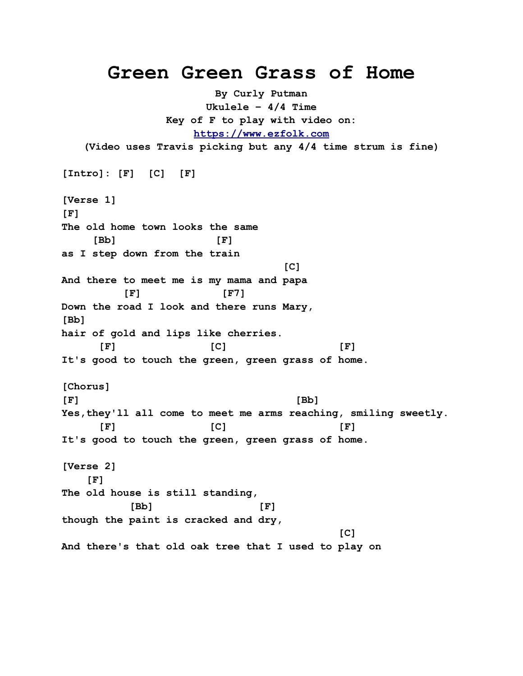## **Green Green Grass of Home**

**By Curly Putman Ukulele – 4/4 Time Key of F to play with video on: [https://www.ezfolk.com](https://www.ezfolk.com/) (Video uses Travis picking but any 4/4 time strum is fine) [Intro]: [F] [C] [F] [Verse 1] [F] The old home town looks the same [Bb] [F] as I step down from the train**  $[{\mathsf C}]$ **And there to meet me is my mama and papa [F] [F7] Down the road I look and there runs Mary, [Bb] hair of gold and lips like cherries. [F] [C] [F] It's good to touch the green, green grass of home. [Chorus] [F] [Bb] Yes,they'll all come to meet me arms reaching, smiling sweetly. [F] [C] [F] It's good to touch the green, green grass of home. [Verse 2] [F] The old house is still standing, [Bb] [F] though the paint is cracked and dry,**  $[{\mathsf C}]$ **And there's that old oak tree that I used to play on**